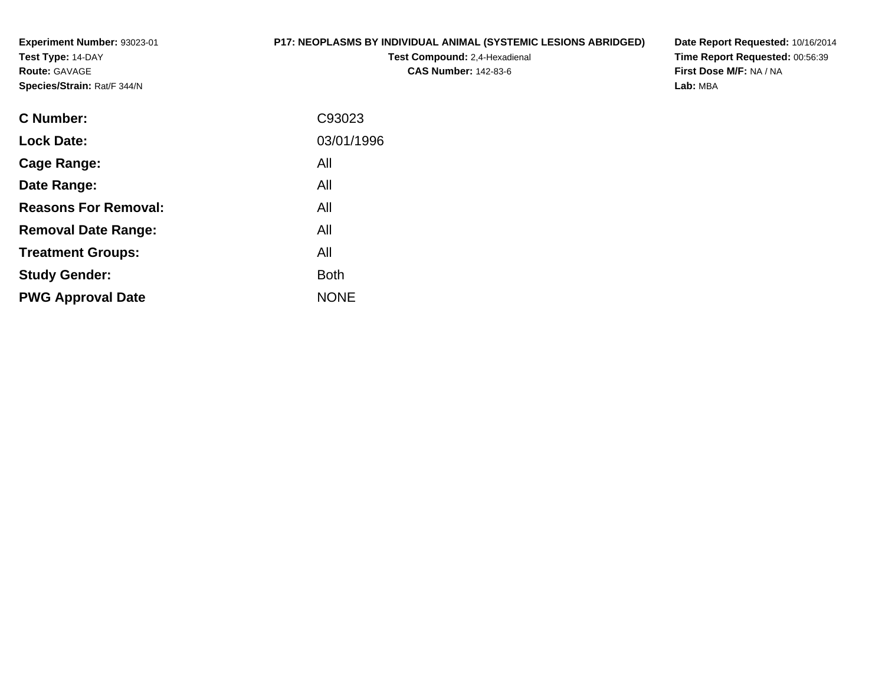**Experiment Number:** 93023-01**Test Type:** 14-DAY**Route:** GAVAGE**Species/Strain:** Rat/F 344/N

## **P17: NEOPLASMS BY INDIVIDUAL ANIMAL (SYSTEMIC LESIONS ABRIDGED)**

**Test Compound:** 2,4-Hexadienal **CAS Number:** 142-83-6

**Date Report Requested:** 10/16/2014 **Time Report Requested:** 00:56:39**First Dose M/F:** NA / NA**Lab:** MBA

| C93023      |
|-------------|
| 03/01/1996  |
| All         |
| All         |
| All         |
| All         |
| All         |
| <b>Both</b> |
| <b>NONE</b> |
|             |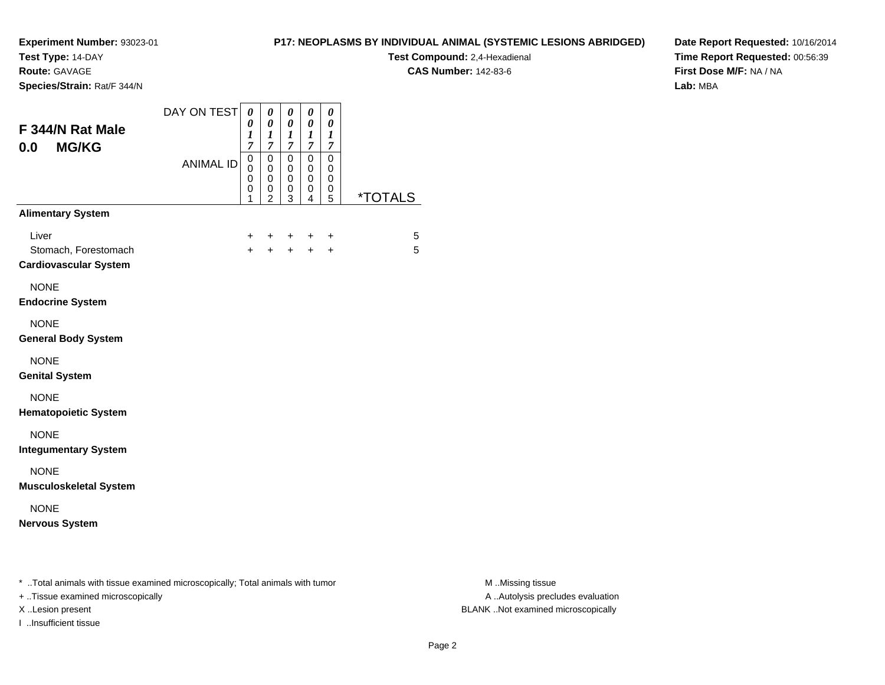**Test Type:** 14-DAY

**Route:** GAVAGE

I ..Insufficient tissue

**Species/Strain:** Rat/F 344/N

## **P17: NEOPLASMS BY INDIVIDUAL ANIMAL (SYSTEMIC LESIONS ABRIDGED)**

**Test Compound:** 2,4-Hexadienal **CAS Number:** 142-83-6

**Date Report Requested:** 10/16/2014**Time Report Requested:** 00:56:39**First Dose M/F:** NA / NA**Lab:** MBA

| F 344/N Rat Male<br><b>MG/KG</b><br>0.0                                                                             | DAY ON TEST<br><b>ANIMAL ID</b> | 0<br>0<br>1<br>$\overline{7}$<br>$\pmb{0}$<br>0 | $\pmb{\theta}$<br>$\boldsymbol{\theta}$<br>$\boldsymbol{l}$<br>$\overline{7}$<br>$\mathbf 0$<br>$\mathbf 0$ | $\pmb{\theta}$<br>$\boldsymbol{\theta}$<br>$\boldsymbol{l}$<br>$\overline{7}$<br>$\mathsf 0$<br>$\mathbf 0$ | 0<br>$\pmb{\theta}$<br>$\boldsymbol{l}$<br>$\overline{7}$<br>$\pmb{0}$<br>0 | $\pmb{\theta}$<br>$\boldsymbol{\theta}$<br>$\boldsymbol{l}$<br>$\overline{7}$<br>$\pmb{0}$<br>0 |                       |                                                       |
|---------------------------------------------------------------------------------------------------------------------|---------------------------------|-------------------------------------------------|-------------------------------------------------------------------------------------------------------------|-------------------------------------------------------------------------------------------------------------|-----------------------------------------------------------------------------|-------------------------------------------------------------------------------------------------|-----------------------|-------------------------------------------------------|
|                                                                                                                     |                                 | 0<br>0<br>1                                     | $\mathbf 0$<br>0<br>$\overline{2}$                                                                          | $\mathbf 0$<br>0<br>$\overline{3}$                                                                          | 0<br>0<br>4                                                                 | 0<br>0<br>$\overline{5}$                                                                        | <i><b>*TOTALS</b></i> |                                                       |
| <b>Alimentary System</b>                                                                                            |                                 |                                                 |                                                                                                             |                                                                                                             |                                                                             |                                                                                                 |                       |                                                       |
| Liver<br>Stomach, Forestomach<br><b>Cardiovascular System</b>                                                       |                                 | $\ddot{}$                                       |                                                                                                             | +<br>$+$                                                                                                    | +<br>$+$                                                                    | +<br>$\ddot{}$                                                                                  | 5<br>5                |                                                       |
| <b>NONE</b><br><b>Endocrine System</b>                                                                              |                                 |                                                 |                                                                                                             |                                                                                                             |                                                                             |                                                                                                 |                       |                                                       |
| <b>NONE</b><br><b>General Body System</b>                                                                           |                                 |                                                 |                                                                                                             |                                                                                                             |                                                                             |                                                                                                 |                       |                                                       |
| <b>NONE</b><br><b>Genital System</b>                                                                                |                                 |                                                 |                                                                                                             |                                                                                                             |                                                                             |                                                                                                 |                       |                                                       |
| <b>NONE</b><br><b>Hematopoietic System</b>                                                                          |                                 |                                                 |                                                                                                             |                                                                                                             |                                                                             |                                                                                                 |                       |                                                       |
| <b>NONE</b><br><b>Integumentary System</b>                                                                          |                                 |                                                 |                                                                                                             |                                                                                                             |                                                                             |                                                                                                 |                       |                                                       |
| <b>NONE</b><br><b>Musculoskeletal System</b>                                                                        |                                 |                                                 |                                                                                                             |                                                                                                             |                                                                             |                                                                                                 |                       |                                                       |
| <b>NONE</b><br><b>Nervous System</b>                                                                                |                                 |                                                 |                                                                                                             |                                                                                                             |                                                                             |                                                                                                 |                       |                                                       |
| * Total animals with tissue examined microscopically; Total animals with tumor<br>+ Tissue examined microscopically |                                 |                                                 |                                                                                                             |                                                                                                             |                                                                             |                                                                                                 |                       | M Missing tissue<br>A  Autolysis precludes evaluation |

M ..Missing tissue X ..Lesion present BLANK ..Not examined microscopically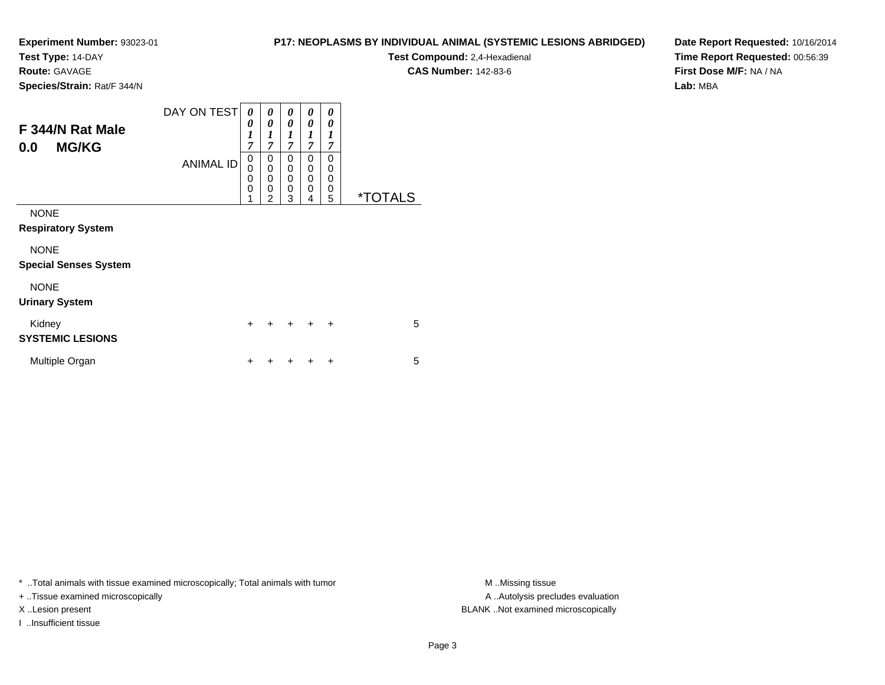**Test Type:** 14-DAY

**Route:** GAVAGE

**Species/Strain:** Rat/F 344/N

| <b>P17: NEOPLASMS BY INDIVIDUAL ANIMAL (SYSTEMIC LESIONS ABRIDGED)</b> |  |
|------------------------------------------------------------------------|--|
|------------------------------------------------------------------------|--|

**Test Compound:** 2,4-Hexadienal

**CAS Number:** 142-83-6

**Date Report Requested:** 10/16/2014**Time Report Requested:** 00:56:39**First Dose M/F:** NA / NA**Lab:** MBA

| F 344/N Rat Male<br><b>MG/KG</b><br>0.0     | DAY ON TESTI<br><b>ANIMAL ID</b> | 0<br>0<br>$\boldsymbol{l}$<br>$\overline{7}$<br>$\mathbf 0$<br>$\mathbf 0$<br>$\mathbf 0$<br>0<br>1 | 0<br>$\boldsymbol{\theta}$<br>$\boldsymbol{l}$<br>$\overline{7}$<br>0<br>0<br>$\mathbf 0$<br>0<br>$\overline{2}$ | 0<br>0<br>1<br>7<br>0<br>0<br>0<br>0<br>3 | 0<br>0<br>1<br>$\overline{7}$<br>0<br>$\mathbf 0$<br>$\mathbf 0$<br>$\mathbf 0$<br>4 | 0<br>0<br>1<br>7<br>$\Omega$<br>$\Omega$<br>$\Omega$<br>0<br>5 | <i><b>*TOTALS</b></i> |
|---------------------------------------------|----------------------------------|-----------------------------------------------------------------------------------------------------|------------------------------------------------------------------------------------------------------------------|-------------------------------------------|--------------------------------------------------------------------------------------|----------------------------------------------------------------|-----------------------|
| <b>NONE</b><br><b>Respiratory System</b>    |                                  |                                                                                                     |                                                                                                                  |                                           |                                                                                      |                                                                |                       |
| <b>NONE</b><br><b>Special Senses System</b> |                                  |                                                                                                     |                                                                                                                  |                                           |                                                                                      |                                                                |                       |
| <b>NONE</b><br><b>Urinary System</b>        |                                  |                                                                                                     |                                                                                                                  |                                           |                                                                                      |                                                                |                       |
| Kidney<br><b>SYSTEMIC LESIONS</b>           |                                  | $\ddot{}$                                                                                           |                                                                                                                  | $\div$                                    | $\div$                                                                               | $\ddot{}$                                                      | 5                     |
| Multiple Organ                              |                                  | +                                                                                                   |                                                                                                                  |                                           |                                                                                      | ÷                                                              | 5                     |

\* ..Total animals with tissue examined microscopically; Total animals with tumor **M** ..Missing tissue M ..Missing tissue

+ ..Tissue examined microscopically

I ..Insufficient tissue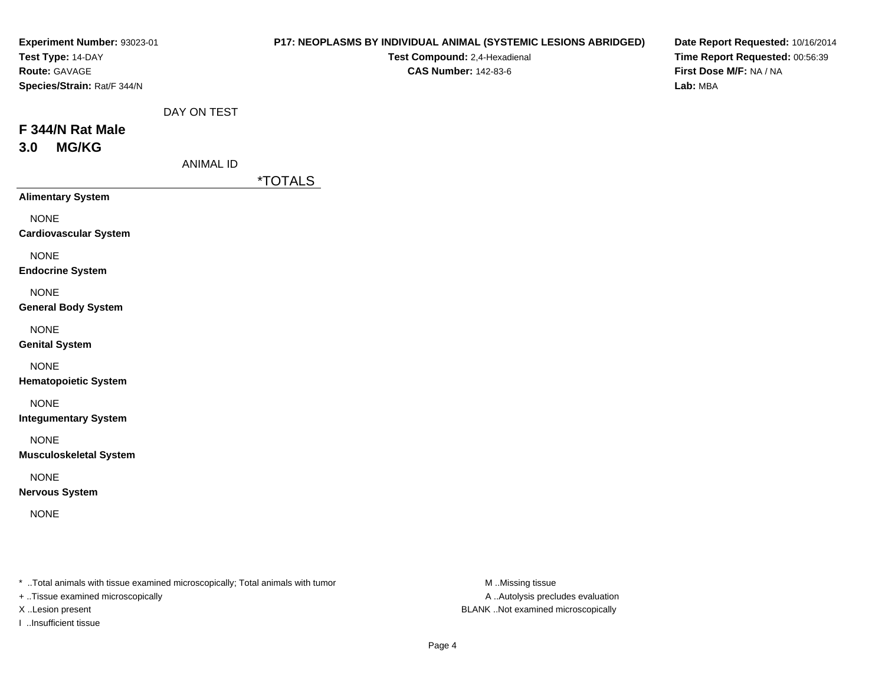|                                 | P17: NEOPLASMS BY INDIVIDUAL ANIMAL (SYSTEMIC LESIONS ABRIDGED)<br>Test Compound: 2,4-Hexadienal<br><b>CAS Number: 142-83-6</b> | Date Report Requested: 10/16/2014<br>Time Report Requested: 00:56:39<br>First Dose M/F: NA / NA<br>Lab: MBA |
|---------------------------------|---------------------------------------------------------------------------------------------------------------------------------|-------------------------------------------------------------------------------------------------------------|
| DAY ON TEST<br><b>ANIMAL ID</b> |                                                                                                                                 |                                                                                                             |
|                                 |                                                                                                                                 |                                                                                                             |
|                                 |                                                                                                                                 |                                                                                                             |
|                                 |                                                                                                                                 |                                                                                                             |
|                                 |                                                                                                                                 |                                                                                                             |
|                                 |                                                                                                                                 |                                                                                                             |
|                                 |                                                                                                                                 |                                                                                                             |
|                                 |                                                                                                                                 |                                                                                                             |
|                                 |                                                                                                                                 |                                                                                                             |
|                                 |                                                                                                                                 |                                                                                                             |
|                                 |                                                                                                                                 |                                                                                                             |
|                                 | Experiment Number: 93023-01                                                                                                     | <i><b>*TOTALS</b></i>                                                                                       |

\* ..Total animals with tissue examined microscopically; Total animals with tumor M..Missing tissue M

+ ..Tissue examined microscopically

I ..Insufficient tissue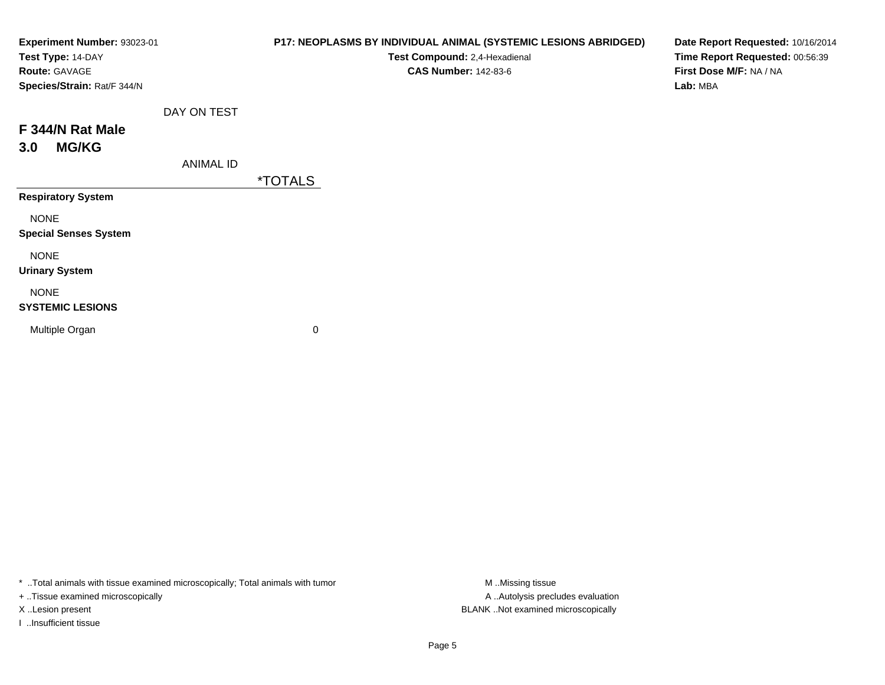| Experiment Number: 93023-01<br>Test Type: 14-DAY<br>Route: GAVAGE<br>Species/Strain: Rat/F 344/N |                  | P17: NEOPLASMS BY INDIVIDUAL ANIMAL (SYSTEMIC LESIONS ABRIDGED)<br>Test Compound: 2,4-Hexadienal<br><b>CAS Number: 142-83-6</b> | Date Report Requested: 10/16/2014<br>Time Report Requested: 00:56:39<br>First Dose M/F: NA / NA<br>Lab: MBA |
|--------------------------------------------------------------------------------------------------|------------------|---------------------------------------------------------------------------------------------------------------------------------|-------------------------------------------------------------------------------------------------------------|
|                                                                                                  | DAY ON TEST      |                                                                                                                                 |                                                                                                             |
| F 344/N Rat Male                                                                                 |                  |                                                                                                                                 |                                                                                                             |
| <b>MG/KG</b><br>3.0                                                                              |                  |                                                                                                                                 |                                                                                                             |
|                                                                                                  | <b>ANIMAL ID</b> |                                                                                                                                 |                                                                                                             |
|                                                                                                  |                  | <i><b>*TOTALS</b></i>                                                                                                           |                                                                                                             |
| <b>Respiratory System</b>                                                                        |                  |                                                                                                                                 |                                                                                                             |
| <b>NONE</b>                                                                                      |                  |                                                                                                                                 |                                                                                                             |
| <b>Special Senses System</b>                                                                     |                  |                                                                                                                                 |                                                                                                             |
| <b>NONE</b>                                                                                      |                  |                                                                                                                                 |                                                                                                             |
| <b>Urinary System</b>                                                                            |                  |                                                                                                                                 |                                                                                                             |
| <b>NONE</b>                                                                                      |                  |                                                                                                                                 |                                                                                                             |
| <b>SYSTEMIC LESIONS</b>                                                                          |                  |                                                                                                                                 |                                                                                                             |
| Multiple Organ                                                                                   |                  | 0                                                                                                                               |                                                                                                             |
|                                                                                                  |                  |                                                                                                                                 |                                                                                                             |

\* ..Total animals with tissue examined microscopically; Total animals with tumor M..Missing tissue M ..Missing tissue

+ ..Tissue examined microscopically

I ..Insufficient tissue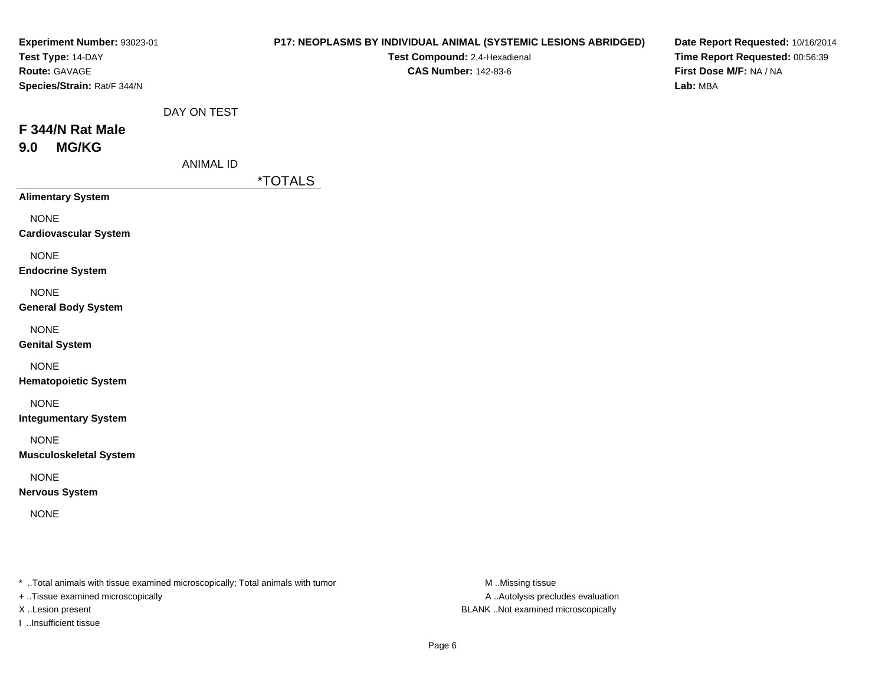| P17: NEOPLASMS BY INDIVIDUAL ANIMAL (SYSTEMIC LESIONS ABRIDGED)<br>Test Compound: 2,4-Hexadienal<br><b>CAS Number: 142-83-6</b> | Date Report Requested: 10/16/2014<br>Time Report Requested: 00:56:39<br>First Dose M/F: NA / NA<br>Lab: MBA |
|---------------------------------------------------------------------------------------------------------------------------------|-------------------------------------------------------------------------------------------------------------|
|                                                                                                                                 |                                                                                                             |
|                                                                                                                                 |                                                                                                             |
|                                                                                                                                 |                                                                                                             |
|                                                                                                                                 |                                                                                                             |
|                                                                                                                                 |                                                                                                             |
|                                                                                                                                 |                                                                                                             |
|                                                                                                                                 |                                                                                                             |
|                                                                                                                                 |                                                                                                             |
|                                                                                                                                 |                                                                                                             |
|                                                                                                                                 |                                                                                                             |
|                                                                                                                                 |                                                                                                             |
|                                                                                                                                 | DAY ON TEST<br><b>ANIMAL ID</b><br><i><b>*TOTALS</b></i>                                                    |

\* ..Total animals with tissue examined microscopically; Total animals with tumor M..Missing tissue M

+ ..Tissue examined microscopically

I ..Insufficient tissue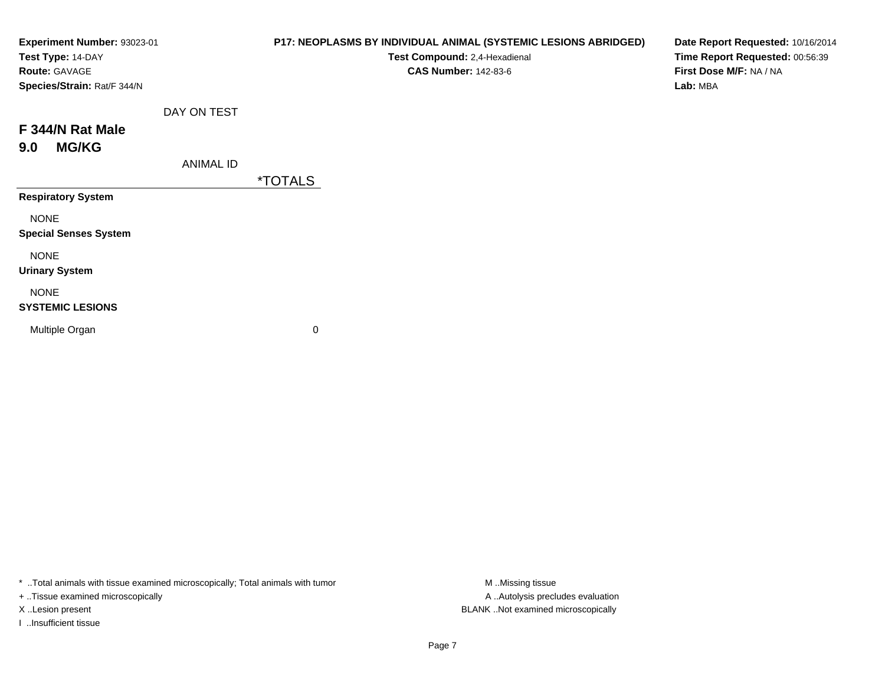| Experiment Number: 93023-01<br>Test Type: 14-DAY<br><b>Route: GAVAGE</b><br>Species/Strain: Rat/F 344/N |                  | P17: NEOPLASMS BY INDIVIDUAL ANIMAL (SYSTEMIC LESIONS ABRIDGED)<br>Test Compound: 2,4-Hexadienal<br><b>CAS Number: 142-83-6</b> | Date Report Requested: 10/16/2014<br>Time Report Requested: 00:56:39<br>First Dose M/F: NA / NA<br>Lab: MBA |
|---------------------------------------------------------------------------------------------------------|------------------|---------------------------------------------------------------------------------------------------------------------------------|-------------------------------------------------------------------------------------------------------------|
|                                                                                                         | DAY ON TEST      |                                                                                                                                 |                                                                                                             |
| F 344/N Rat Male<br><b>MG/KG</b><br>9.0                                                                 |                  |                                                                                                                                 |                                                                                                             |
|                                                                                                         | <b>ANIMAL ID</b> | <i><b>*TOTALS</b></i>                                                                                                           |                                                                                                             |
| <b>Respiratory System</b>                                                                               |                  |                                                                                                                                 |                                                                                                             |
| <b>NONE</b><br><b>Special Senses System</b>                                                             |                  |                                                                                                                                 |                                                                                                             |
| <b>NONE</b><br><b>Urinary System</b>                                                                    |                  |                                                                                                                                 |                                                                                                             |
| <b>NONE</b><br><b>SYSTEMIC LESIONS</b>                                                                  |                  |                                                                                                                                 |                                                                                                             |
| Multiple Organ                                                                                          |                  | 0                                                                                                                               |                                                                                                             |

\* ..Total animals with tissue examined microscopically; Total animals with tumor M..Missing tissue M ..Missing tissue

+ ..Tissue examined microscopically

I ..Insufficient tissue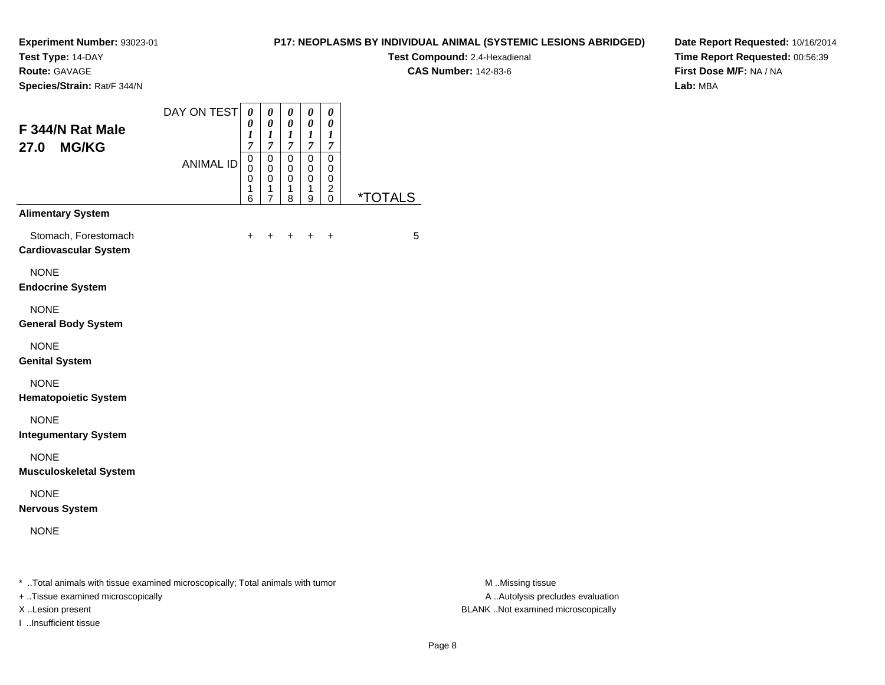**Test Type:** 14-DAY

**Route:** GAVAGE

**Species/Strain:** Rat/F 344/N

## **P17: NEOPLASMS BY INDIVIDUAL ANIMAL (SYSTEMIC LESIONS ABRIDGED)**

**Test Compound:** 2,4-Hexadienal **CAS Number:** 142-83-6

**Date Report Requested:** 10/16/2014**Time Report Requested:** 00:56:39**First Dose M/F:** NA / NA**Lab:** MBA

|                  | $\overline{7}$                             | $\overline{7}$                                                    | 1<br>$\overline{7}$              | $\boldsymbol{l}$<br>$\overline{7}$ | 1<br>$\overline{7}$                    |                       |
|------------------|--------------------------------------------|-------------------------------------------------------------------|----------------------------------|------------------------------------|----------------------------------------|-----------------------|
| <b>ANIMAL ID</b> | 0<br>$\mathbf 0$<br>0<br>$\mathbf{1}$<br>6 | $\mathbf 0$<br>$\mathbf 0$<br>0<br>$\mathbf{1}$<br>$\overline{7}$ | 0<br>0<br>0<br>$\mathbf{1}$<br>8 | 0<br>0<br>0<br>1<br>9              | 0<br>0<br>0<br>$\overline{\mathbf{c}}$ | <i><b>*TOTALS</b></i> |
|                  |                                            |                                                                   |                                  |                                    |                                        |                       |
|                  | +                                          | +                                                                 | ٠                                | $\ddot{}$                          | $\ddot{}$                              | 5                     |
|                  |                                            |                                                                   |                                  |                                    |                                        |                       |
|                  |                                            |                                                                   |                                  |                                    |                                        |                       |
|                  |                                            |                                                                   |                                  |                                    |                                        |                       |
|                  |                                            |                                                                   |                                  |                                    |                                        |                       |
|                  |                                            |                                                                   |                                  |                                    |                                        |                       |
|                  |                                            |                                                                   |                                  |                                    |                                        |                       |
|                  |                                            |                                                                   |                                  |                                    |                                        |                       |
|                  |                                            |                                                                   |                                  |                                    |                                        |                       |
|                  |                                            |                                                                   |                                  |                                    |                                        | $\mathbf 0$           |

\* ..Total animals with tissue examined microscopically; Total animals with tumor **M** . Missing tissue M ..Missing tissue

+ ..Tissue examined microscopically

I ..Insufficient tissue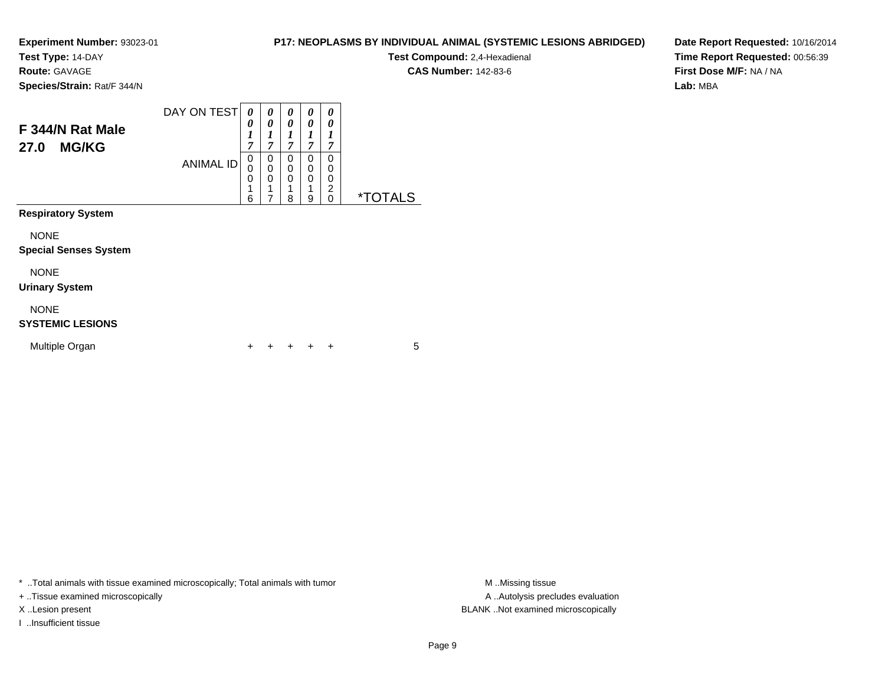**Test Type:** 14-DAY

**Route:** GAVAGE

**Species/Strain:** Rat/F 344/N

#### DAY ON TEST**F 344/N Rat Male27.0 MG/KG**ANIMAL ID*0 0 1 7*0<br>0<br>0<br>1 *0 0 1 7*0<br>0<br>0<br>1 *0 0 1 7* 0 0 0*0 0 1 7* 0*0 0 1 7*0

6

7

 18  0 0 1 90<br>0<br>0<br>0<br>0 0 \*TOTALS

**Respiratory System**

NONE

#### **Special Senses System**

NONE

**Urinary System**

#### NONE

## **SYSTEMIC LESIONS**

| Multiple Organ |  |  |  | + + + + + |  |  |  |
|----------------|--|--|--|-----------|--|--|--|
|----------------|--|--|--|-----------|--|--|--|

\* ..Total animals with tissue examined microscopically; Total animals with tumor **M** ..Missing tissue M ..Missing tissue

+ ..Tissue examined microscopically

I ..Insufficient tissue

**CAS Number:** 142-83-6

**P17: NEOPLASMS BY INDIVIDUAL ANIMAL (SYSTEMIC LESIONS ABRIDGED)Test Compound:** 2,4-Hexadienal

**Date Report Requested:** 10/16/2014**Time Report Requested:** 00:56:39**First Dose M/F:** NA / NA**Lab:** MBA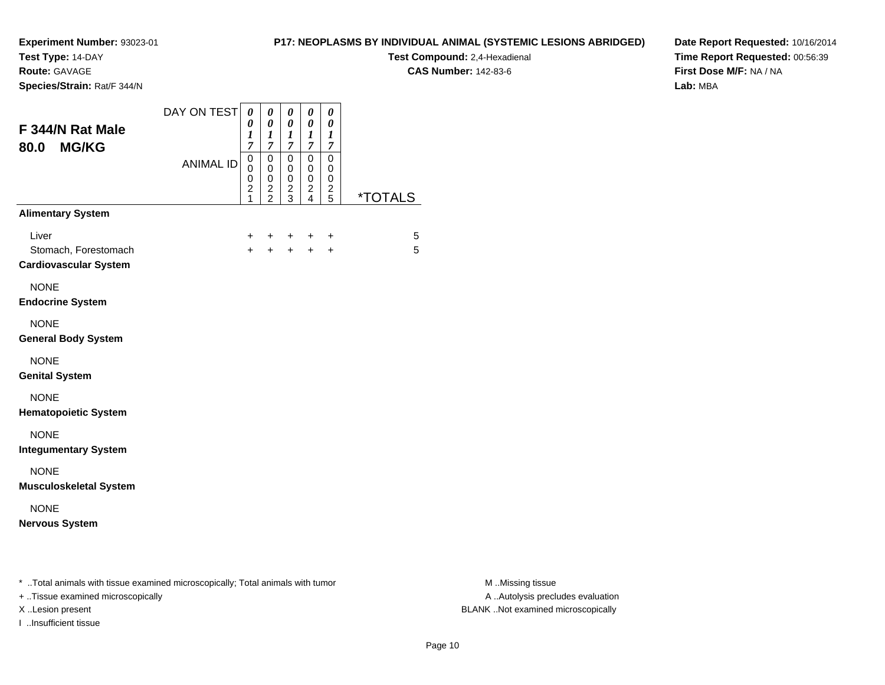**Test Type:** 14-DAY

**Route:** GAVAGE

**Species/Strain:** Rat/F 344/N

## **P17: NEOPLASMS BY INDIVIDUAL ANIMAL (SYSTEMIC LESIONS ABRIDGED)**

**Test Compound:** 2,4-Hexadienal **CAS Number:** 142-83-6

**Date Report Requested:** 10/16/2014**Time Report Requested:** 00:56:39**First Dose M/F:** NA / NA**Lab:** MBA

| F 344/N Rat Male<br><b>MG/KG</b><br>80.0                      | DAY ON TEST      | 0<br>0<br>$\boldsymbol{l}$<br>$\boldsymbol{7}$ | 0<br>$\boldsymbol{\theta}$<br>$\boldsymbol{l}$<br>$\overline{7}$ | 0<br>0<br>$\boldsymbol{l}$<br>$\overline{7}$         | 0<br>0<br>$\boldsymbol{l}$<br>$\overline{7}$ | 0<br>0<br>1<br>$\overline{7}$                  |                       |
|---------------------------------------------------------------|------------------|------------------------------------------------|------------------------------------------------------------------|------------------------------------------------------|----------------------------------------------|------------------------------------------------|-----------------------|
|                                                               | <b>ANIMAL ID</b> | 0<br>0<br>0<br>$\overline{c}$<br>1             | $\mathbf 0$<br>0<br>$\mathbf 0$<br>$\frac{2}{2}$                 | $\pmb{0}$<br>$\pmb{0}$<br>$\pmb{0}$<br>$\frac{2}{3}$ | $\mathsf 0$<br>0<br>$\mathsf 0$<br>$_4^2$    | $\mathsf 0$<br>0<br>$\pmb{0}$<br>$\frac{2}{5}$ | <i><b>*TOTALS</b></i> |
| <b>Alimentary System</b>                                      |                  |                                                |                                                                  |                                                      |                                              |                                                |                       |
| Liver<br>Stomach, Forestomach<br><b>Cardiovascular System</b> |                  | +<br>$\ddot{}$                                 | +<br>$\ddot{}$                                                   | $\ddot{}$<br>$+$                                     | $+$                                          | $\ddot{}$<br>$\ddot{}$                         | 5<br>5                |
| <b>NONE</b><br><b>Endocrine System</b>                        |                  |                                                |                                                                  |                                                      |                                              |                                                |                       |
| <b>NONE</b><br><b>General Body System</b>                     |                  |                                                |                                                                  |                                                      |                                              |                                                |                       |
| <b>NONE</b><br><b>Genital System</b>                          |                  |                                                |                                                                  |                                                      |                                              |                                                |                       |
| <b>NONE</b><br><b>Hematopoietic System</b>                    |                  |                                                |                                                                  |                                                      |                                              |                                                |                       |
| <b>NONE</b><br><b>Integumentary System</b>                    |                  |                                                |                                                                  |                                                      |                                              |                                                |                       |
| <b>NONE</b><br><b>Musculoskeletal System</b>                  |                  |                                                |                                                                  |                                                      |                                              |                                                |                       |
| <b>NONE</b><br><b>Nervous System</b>                          |                  |                                                |                                                                  |                                                      |                                              |                                                |                       |

\* ..Total animals with tissue examined microscopically; Total animals with tumor **M** ...Missing tissue M ...Missing tissue

+ ..Tissue examined microscopically

I ..Insufficient tissue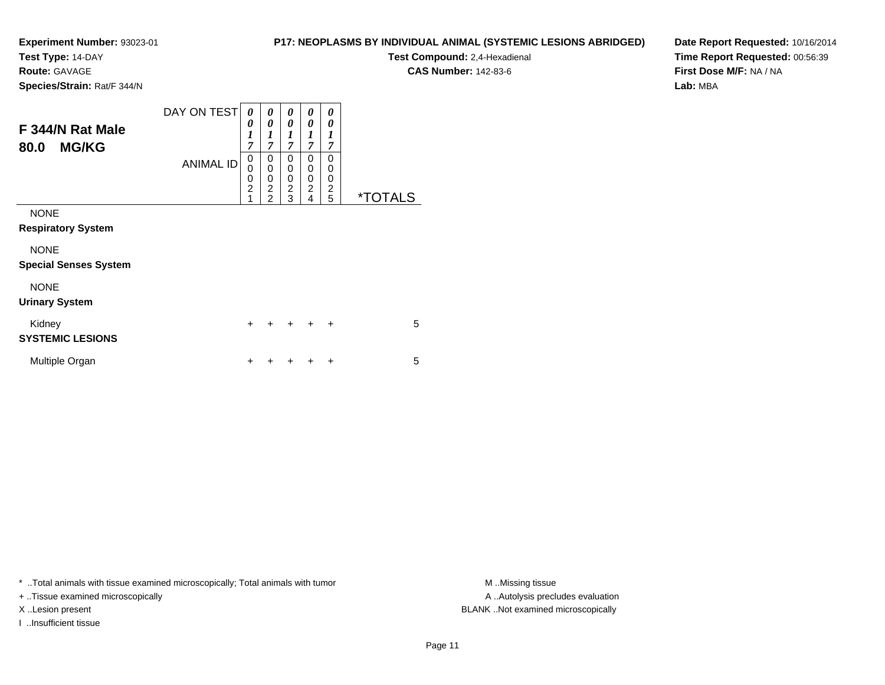**Test Type:** 14-DAY

**Route:** GAVAGE

**Species/Strain:** Rat/F 344/N

# **P17: NEOPLASMS BY INDIVIDUAL ANIMAL (SYSTEMIC LESIONS ABRIDGED)**

**Test Compound:** 2,4-Hexadienal **CAS Number:** 142-83-6

**Date Report Requested:** 10/16/2014**Time Report Requested:** 00:56:39**First Dose M/F:** NA / NA**Lab:** MBA

| F 344/N Rat Male<br><b>MG/KG</b><br>80.0    | DAY ON TESTI<br><b>ANIMAL ID</b> | 0<br>0<br>$\boldsymbol{l}$<br>7<br>0<br>$\mathbf 0$<br>$\mathbf 0$<br>$\overline{2}$<br>1 | 0<br>$\boldsymbol{\theta}$<br>1<br>$\overline{7}$<br>0<br>$\mathbf 0$<br>0<br>$\overline{2}$<br>$\overline{2}$ | 0<br>0<br>$\boldsymbol{l}$<br>$\overline{7}$<br>0<br>0<br>0<br>$\overline{c}$<br>3 | 0<br>0<br>1<br>7<br>0<br>0<br>0<br>$\overline{c}$<br>4 | 0<br>0<br>$\boldsymbol{l}$<br>7<br>$\Omega$<br>0<br>0<br>$\overline{2}$<br>5 | <i><b>*TOTALS</b></i> |
|---------------------------------------------|----------------------------------|-------------------------------------------------------------------------------------------|----------------------------------------------------------------------------------------------------------------|------------------------------------------------------------------------------------|--------------------------------------------------------|------------------------------------------------------------------------------|-----------------------|
| <b>NONE</b><br><b>Respiratory System</b>    |                                  |                                                                                           |                                                                                                                |                                                                                    |                                                        |                                                                              |                       |
| <b>NONE</b><br><b>Special Senses System</b> |                                  |                                                                                           |                                                                                                                |                                                                                    |                                                        |                                                                              |                       |
| <b>NONE</b><br><b>Urinary System</b>        |                                  |                                                                                           |                                                                                                                |                                                                                    |                                                        |                                                                              |                       |
| Kidney<br><b>SYSTEMIC LESIONS</b>           |                                  | $\ddot{}$                                                                                 |                                                                                                                | $\div$                                                                             | $\div$                                                 | $\ddot{}$                                                                    | 5                     |
| Multiple Organ                              |                                  | ٠                                                                                         |                                                                                                                |                                                                                    |                                                        | ÷                                                                            | 5                     |

\* ..Total animals with tissue examined microscopically; Total animals with tumor **M** . Missing tissue M ..Missing tissue

+ ..Tissue examined microscopically

I ..Insufficient tissue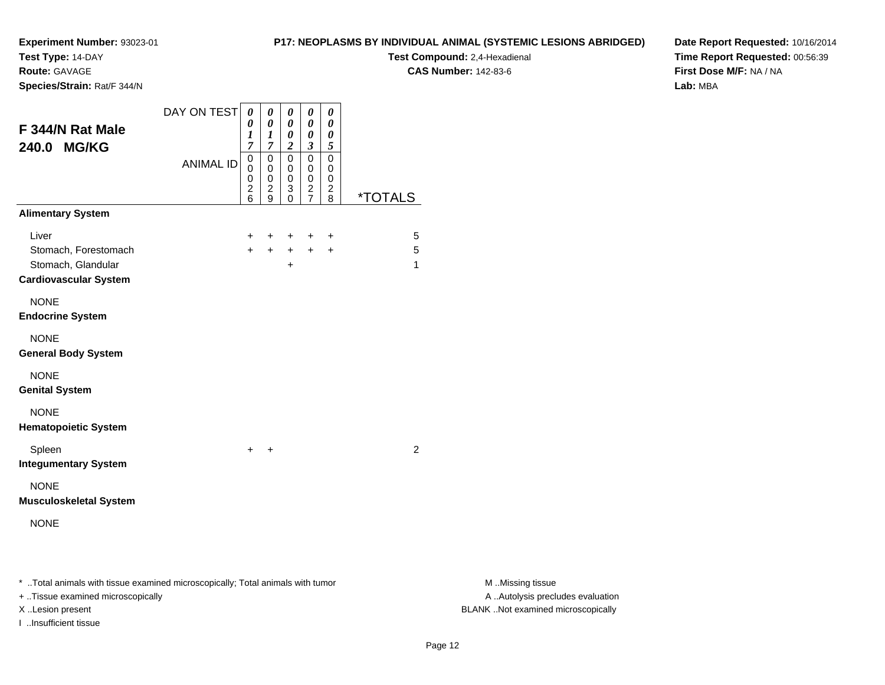**Test Type:** 14-DAY

**Route:** GAVAGE

**Species/Strain:** Rat/F 344/N

### **P17: NEOPLASMS BY INDIVIDUAL ANIMAL (SYSTEMIC LESIONS ABRIDGED)**

**Test Compound:** 2,4-Hexadienal **CAS Number:** 142-83-6

**Date Report Requested:** 10/16/2014**Time Report Requested:** 00:56:39**First Dose M/F:** NA / NA**Lab:** MBA

| DAY ON TEST<br><b>ANIMAL ID</b> | 0<br>0<br>$\boldsymbol{l}$<br>$\overline{7}$<br>$\overline{0}$<br>0<br>0<br>$\overline{\mathbf{c}}$<br>6 | $\boldsymbol{\theta}$<br>$\boldsymbol{\theta}$<br>$\boldsymbol{l}$<br>$\overline{7}$<br>$\mathbf 0$<br>0<br>$\mathbf 0$<br>$\overline{\mathbf{c}}$<br>9 | $\boldsymbol{\theta}$<br>$\boldsymbol{\theta}$<br>$\boldsymbol{\theta}$<br>$\boldsymbol{2}$<br>$\mathbf 0$<br>0<br>0<br>3<br>0 | 0<br>$\boldsymbol{\theta}$<br>$\pmb{\theta}$<br>$\mathfrak{z}$<br>$\mathbf 0$<br>0<br>0<br>$\frac{2}{7}$ | $\boldsymbol{\theta}$<br>$\pmb{\theta}$<br>0<br>5<br>$\mathbf 0$<br>0<br>0<br>$\frac{2}{8}$ | <i><b>*TOTALS</b></i> |
|---------------------------------|----------------------------------------------------------------------------------------------------------|---------------------------------------------------------------------------------------------------------------------------------------------------------|--------------------------------------------------------------------------------------------------------------------------------|----------------------------------------------------------------------------------------------------------|---------------------------------------------------------------------------------------------|-----------------------|
|                                 |                                                                                                          |                                                                                                                                                         |                                                                                                                                |                                                                                                          |                                                                                             |                       |
|                                 | +<br>$\ddot{}$                                                                                           | +<br>$+$                                                                                                                                                | $\pm$<br>$+$<br>$\div$                                                                                                         | $+$<br>$+$                                                                                               | $\ddot{}$<br>$+$                                                                            | 5<br>5<br>1           |
|                                 |                                                                                                          |                                                                                                                                                         |                                                                                                                                |                                                                                                          |                                                                                             |                       |
|                                 |                                                                                                          |                                                                                                                                                         |                                                                                                                                |                                                                                                          |                                                                                             |                       |
|                                 |                                                                                                          |                                                                                                                                                         |                                                                                                                                |                                                                                                          |                                                                                             |                       |
|                                 |                                                                                                          |                                                                                                                                                         |                                                                                                                                |                                                                                                          |                                                                                             |                       |
|                                 | $\ddot{}$                                                                                                | $\ddot{}$                                                                                                                                               |                                                                                                                                |                                                                                                          |                                                                                             | $\overline{2}$        |
|                                 |                                                                                                          |                                                                                                                                                         |                                                                                                                                |                                                                                                          |                                                                                             |                       |
|                                 |                                                                                                          |                                                                                                                                                         |                                                                                                                                |                                                                                                          |                                                                                             |                       |
|                                 |                                                                                                          |                                                                                                                                                         |                                                                                                                                |                                                                                                          |                                                                                             |                       |

\* ..Total animals with tissue examined microscopically; Total animals with tumor **M** . Missing tissue M ..Missing tissue

+ ..Tissue examined microscopically

I ..Insufficient tissue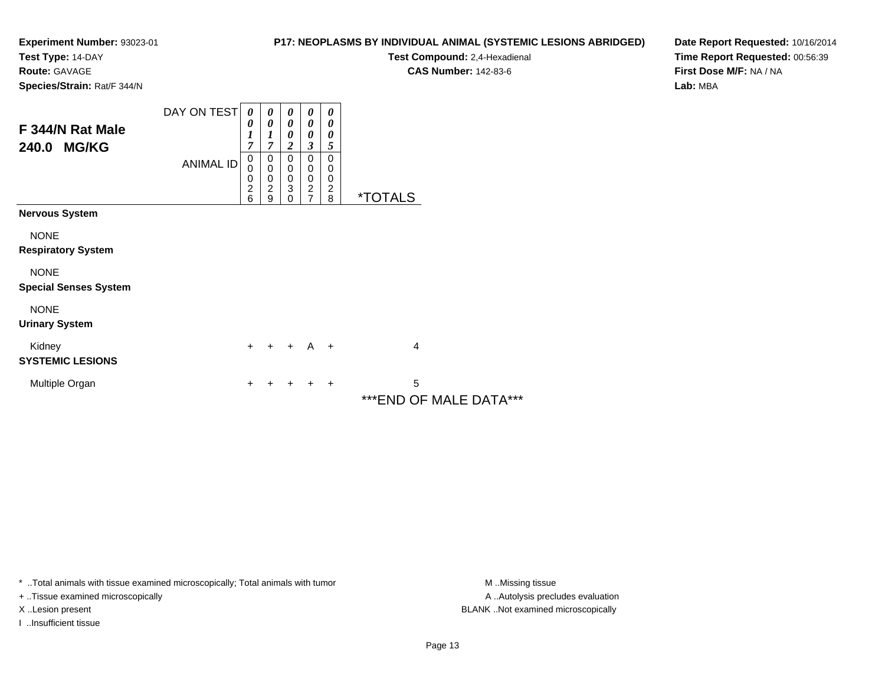**Test Type:** 14-DAY

**Route:** GAVAGE

**P17: NEOPLASMS BY INDIVIDUAL ANIMAL (SYSTEMIC LESIONS ABRIDGED)**

**Test Compound:** 2,4-Hexadienal **CAS Number:** 142-83-6

**Date Report Requested:** 10/16/2014**Time Report Requested:** 00:56:39**First Dose M/F:** NA / NA**Lab:** MBA

|  | Species/Strain: Rat/F 344/N |
|--|-----------------------------|
|  |                             |

| F 344/N Rat Male<br><b>MG/KG</b><br>240.0   | DAY ON TEST      | 0<br>0<br>7                                           | 0<br>0<br>1<br>$\overline{7}$                      | 0<br>0<br>0<br>$\overline{2}$                                             | 0<br>$\boldsymbol{\theta}$<br>0<br>$\overline{\mathbf{3}}$ | 0<br>$\theta$<br>0<br>5                     |                              |
|---------------------------------------------|------------------|-------------------------------------------------------|----------------------------------------------------|---------------------------------------------------------------------------|------------------------------------------------------------|---------------------------------------------|------------------------------|
|                                             | <b>ANIMAL ID</b> | $\mathbf 0$<br>0<br>0<br>$\overline{\mathbf{c}}$<br>6 | 0<br>$\pmb{0}$<br>$\pmb{0}$<br>$\overline{2}$<br>9 | 0<br>$\mathbf 0$<br>$\pmb{0}$<br>$\ensuremath{\mathsf{3}}$<br>$\mathbf 0$ | 0<br>$\mathbf 0$<br>$\pmb{0}$<br>$\frac{2}{7}$             | 0<br>0<br>0<br>$\overline{\mathbf{c}}$<br>8 | <i><b>*TOTALS</b></i>        |
| <b>Nervous System</b>                       |                  |                                                       |                                                    |                                                                           |                                                            |                                             |                              |
| <b>NONE</b><br><b>Respiratory System</b>    |                  |                                                       |                                                    |                                                                           |                                                            |                                             |                              |
| <b>NONE</b><br><b>Special Senses System</b> |                  |                                                       |                                                    |                                                                           |                                                            |                                             |                              |
| <b>NONE</b><br><b>Urinary System</b>        |                  |                                                       |                                                    |                                                                           |                                                            |                                             |                              |
| Kidney<br><b>SYSTEMIC LESIONS</b>           |                  | $+$                                                   |                                                    | $+$ + A +                                                                 |                                                            |                                             | 4                            |
| Multiple Organ                              |                  | +                                                     | +                                                  | ÷                                                                         | $\ddot{}$                                                  | $\ddot{}$                                   | 5<br>*** END OF MALE DATA*** |

\* ..Total animals with tissue examined microscopically; Total animals with tumor **M** . Missing tissue M ..Missing tissue

+ ..Tissue examined microscopically

I ..Insufficient tissue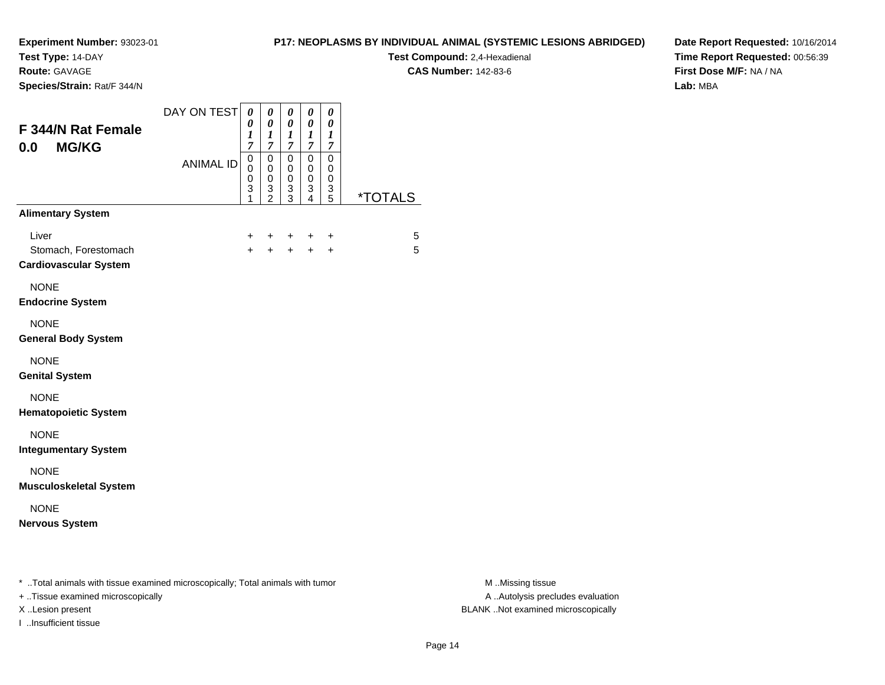**Test Type:** 14-DAY

**Route:** GAVAGE

I ..Insufficient tissue

**Species/Strain:** Rat/F 344/N

## **P17: NEOPLASMS BY INDIVIDUAL ANIMAL (SYSTEMIC LESIONS ABRIDGED)**

**Test Compound:** 2,4-Hexadienal

**CAS Number:** 142-83-6

**Date Report Requested:** 10/16/2014**Time Report Requested:** 00:56:39**First Dose M/F:** NA / NA**Lab:** MBA

| F 344/N Rat Female<br><b>MG/KG</b><br>0.0                                                                           | DAY ON TEST      | 0<br>0<br>1<br>7      | 0<br>$\boldsymbol{\theta}$<br>$\boldsymbol{l}$<br>7 | 0<br>0<br>1<br>7                | 0<br>0<br>1<br>7                             | 0<br>0<br>1<br>7              |                       |
|---------------------------------------------------------------------------------------------------------------------|------------------|-----------------------|-----------------------------------------------------|---------------------------------|----------------------------------------------|-------------------------------|-----------------------|
|                                                                                                                     | <b>ANIMAL ID</b> | 0<br>0<br>0<br>3<br>1 | $\mathbf 0$<br>0<br>0<br>3<br>$\overline{2}$        | $\mathbf 0$<br>0<br>0<br>3<br>3 | $\mathbf 0$<br>0<br>0<br>3<br>$\overline{4}$ | $\pmb{0}$<br>0<br>0<br>3<br>5 | <i><b>*TOTALS</b></i> |
| <b>Alimentary System</b>                                                                                            |                  |                       |                                                     |                                 |                                              |                               |                       |
| Liver<br>Stomach, Forestomach<br><b>Cardiovascular System</b>                                                       |                  | +<br>$\ddot{}$        | +<br>$\ddot{}$                                      | $\ddot{}$<br>$+$                | ٠<br>$+$                                     | $\ddot{}$<br>$\ddot{}$        | 5<br>5                |
| <b>NONE</b><br><b>Endocrine System</b>                                                                              |                  |                       |                                                     |                                 |                                              |                               |                       |
| <b>NONE</b><br><b>General Body System</b>                                                                           |                  |                       |                                                     |                                 |                                              |                               |                       |
| <b>NONE</b><br><b>Genital System</b>                                                                                |                  |                       |                                                     |                                 |                                              |                               |                       |
| <b>NONE</b><br><b>Hematopoietic System</b>                                                                          |                  |                       |                                                     |                                 |                                              |                               |                       |
| <b>NONE</b><br><b>Integumentary System</b>                                                                          |                  |                       |                                                     |                                 |                                              |                               |                       |
| <b>NONE</b><br><b>Musculoskeletal System</b>                                                                        |                  |                       |                                                     |                                 |                                              |                               |                       |
| <b>NONE</b><br><b>Nervous System</b>                                                                                |                  |                       |                                                     |                                 |                                              |                               |                       |
| * Total animals with tissue examined microscopically; Total animals with tumor<br>+ Tissue examined microscopically |                  |                       |                                                     |                                 |                                              |                               |                       |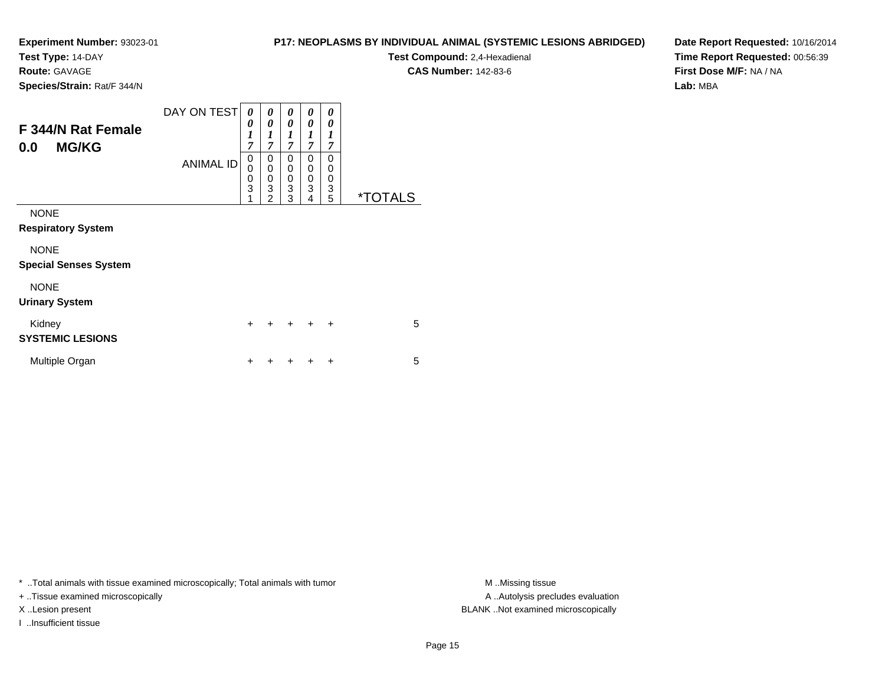**Test Type:** 14-DAY

**Route:** GAVAGE

**Species/Strain:** Rat/F 344/N

| <b>P17: NEOPLASMS BY INDIVIDUAL ANIMAL (SYSTEMIC LESIONS ABRIDGED)</b> |  |  |
|------------------------------------------------------------------------|--|--|
|------------------------------------------------------------------------|--|--|

**Test Compound:** 2,4-Hexadienal **CAS Number:** 142-83-6

**Date Report Requested:** 10/16/2014**Time Report Requested:** 00:56:39**First Dose M/F:** NA / NA**Lab:** MBA

| F 344/N Rat Female<br><b>MG/KG</b><br>0.0   | DAY ON TEST<br><b>ANIMAL ID</b> | 0<br>0<br>$\boldsymbol{l}$<br>$\overline{7}$<br>0<br>0<br>$\pmb{0}$<br>$\overline{3}$ | 0<br>$\boldsymbol{\theta}$<br>1<br>$\overline{7}$<br>0<br>0<br>0<br>$\overline{3}$ | 0<br>0<br>1<br>7<br>$\mathbf 0$<br>0<br>$\mathbf 0$<br>3 | 0<br>0<br>1<br>7<br>0<br>0<br>0<br>3 | 0<br>0<br>1<br>7<br>$\Omega$<br>0<br>0<br>3 |                       |
|---------------------------------------------|---------------------------------|---------------------------------------------------------------------------------------|------------------------------------------------------------------------------------|----------------------------------------------------------|--------------------------------------|---------------------------------------------|-----------------------|
| <b>NONE</b><br><b>Respiratory System</b>    |                                 | 1                                                                                     | $\overline{c}$                                                                     | 3                                                        | 4                                    | 5                                           | <i><b>*TOTALS</b></i> |
| <b>NONE</b><br><b>Special Senses System</b> |                                 |                                                                                       |                                                                                    |                                                          |                                      |                                             |                       |
| <b>NONE</b><br><b>Urinary System</b>        |                                 |                                                                                       |                                                                                    |                                                          |                                      |                                             |                       |
| Kidney<br><b>SYSTEMIC LESIONS</b>           |                                 | $\ddot{}$                                                                             |                                                                                    | $\ddot{}$                                                | $\div$                               | $\ddot{}$                                   | 5                     |
| Multiple Organ                              |                                 | ٠                                                                                     |                                                                                    |                                                          |                                      | ÷                                           | 5                     |

\* ..Total animals with tissue examined microscopically; Total animals with tumor **M** . Missing tissue M ..Missing tissue

+ ..Tissue examined microscopically

I ..Insufficient tissue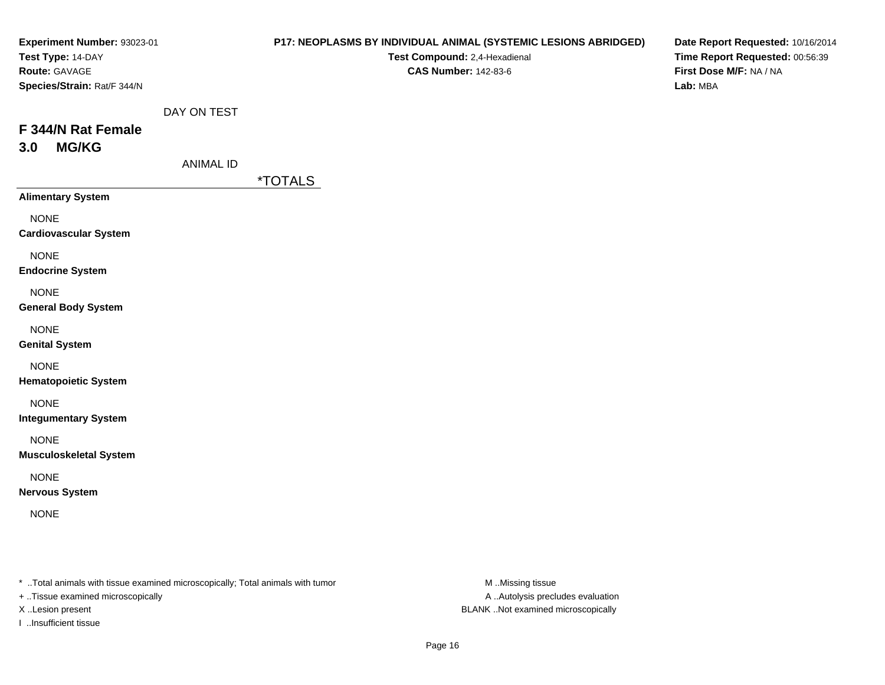| Experiment Number: 93023-01<br>Test Type: 14-DAY<br>Route: GAVAGE<br>Species/Strain: Rat/F 344/N |                                 | P17: NEOPLASMS BY INDIVIDUAL ANIMAL (SYSTEMIC LESIONS ABRIDGED)<br>Test Compound: 2,4-Hexadienal<br><b>CAS Number: 142-83-6</b> | Date Report Requested: 10/16/2014<br>Time Report Requested: 00:56:39<br>First Dose M/F: NA / NA<br>Lab: MBA |
|--------------------------------------------------------------------------------------------------|---------------------------------|---------------------------------------------------------------------------------------------------------------------------------|-------------------------------------------------------------------------------------------------------------|
| F 344/N Rat Female<br><b>MG/KG</b><br>3.0                                                        | DAY ON TEST<br><b>ANIMAL ID</b> |                                                                                                                                 |                                                                                                             |
|                                                                                                  |                                 | <i><b>*TOTALS</b></i>                                                                                                           |                                                                                                             |
| <b>Alimentary System</b>                                                                         |                                 |                                                                                                                                 |                                                                                                             |
| <b>NONE</b><br><b>Cardiovascular System</b>                                                      |                                 |                                                                                                                                 |                                                                                                             |
| <b>NONE</b><br><b>Endocrine System</b>                                                           |                                 |                                                                                                                                 |                                                                                                             |
| <b>NONE</b><br><b>General Body System</b>                                                        |                                 |                                                                                                                                 |                                                                                                             |
| <b>NONE</b><br><b>Genital System</b>                                                             |                                 |                                                                                                                                 |                                                                                                             |
| <b>NONE</b><br><b>Hematopoietic System</b>                                                       |                                 |                                                                                                                                 |                                                                                                             |
| <b>NONE</b><br><b>Integumentary System</b>                                                       |                                 |                                                                                                                                 |                                                                                                             |
| <b>NONE</b><br><b>Musculoskeletal System</b>                                                     |                                 |                                                                                                                                 |                                                                                                             |
| <b>NONE</b><br><b>Nervous System</b>                                                             |                                 |                                                                                                                                 |                                                                                                             |
| <b>NONE</b>                                                                                      |                                 |                                                                                                                                 |                                                                                                             |
|                                                                                                  |                                 |                                                                                                                                 |                                                                                                             |

\* ..Total animals with tissue examined microscopically; Total animals with tumor M..Missing tissue M

+ ..Tissue examined microscopically

I ..Insufficient tissue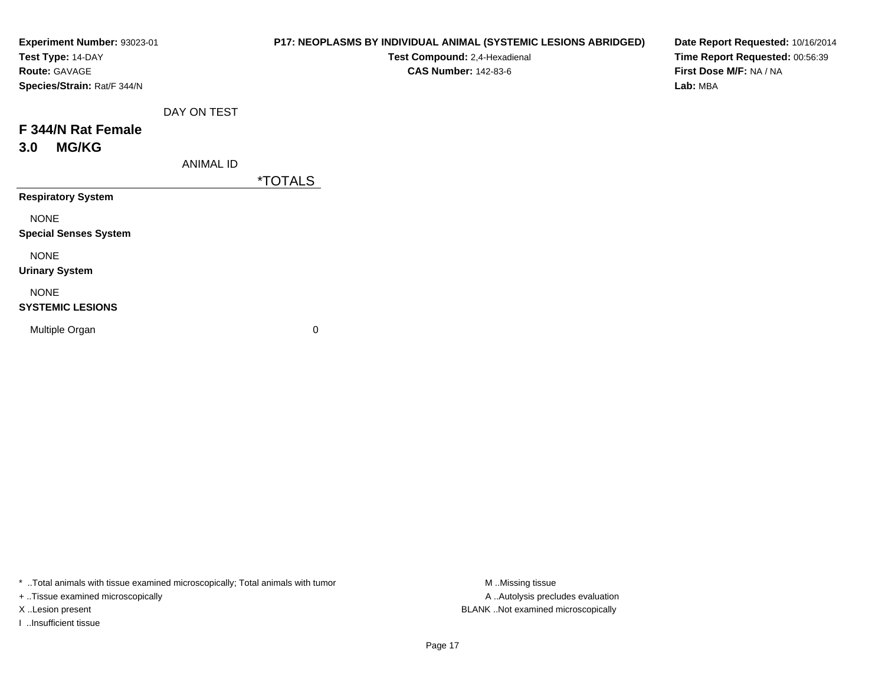| Experiment Number: 93023-01  |                  | P17: NEOPLASMS BY INDIVIDUAL ANIMAL (SYSTEMIC LESIONS ABRIDGED) | Date Report Requested: 10/16/2014 |
|------------------------------|------------------|-----------------------------------------------------------------|-----------------------------------|
| Test Type: 14-DAY            |                  | Test Compound: 2,4-Hexadienal                                   | Time Report Requested: 00:56:39   |
| Route: GAVAGE                |                  | <b>CAS Number: 142-83-6</b>                                     | First Dose M/F: NA / NA           |
| Species/Strain: Rat/F 344/N  |                  |                                                                 | Lab: MBA                          |
|                              | DAY ON TEST      |                                                                 |                                   |
| F 344/N Rat Female           |                  |                                                                 |                                   |
| <b>MG/KG</b><br>3.0          |                  |                                                                 |                                   |
|                              | <b>ANIMAL ID</b> |                                                                 |                                   |
|                              |                  | <i><b>*TOTALS</b></i>                                           |                                   |
| <b>Respiratory System</b>    |                  |                                                                 |                                   |
| <b>NONE</b>                  |                  |                                                                 |                                   |
| <b>Special Senses System</b> |                  |                                                                 |                                   |
| <b>NONE</b>                  |                  |                                                                 |                                   |
| <b>Urinary System</b>        |                  |                                                                 |                                   |
| <b>NONE</b>                  |                  |                                                                 |                                   |
| <b>SYSTEMIC LESIONS</b>      |                  |                                                                 |                                   |
| Multiple Organ               |                  | 0                                                               |                                   |
|                              |                  |                                                                 |                                   |

\* ..Total animals with tissue examined microscopically; Total animals with tumor M..Missing tissue M ..Missing tissue

+ ..Tissue examined microscopically

I ..Insufficient tissue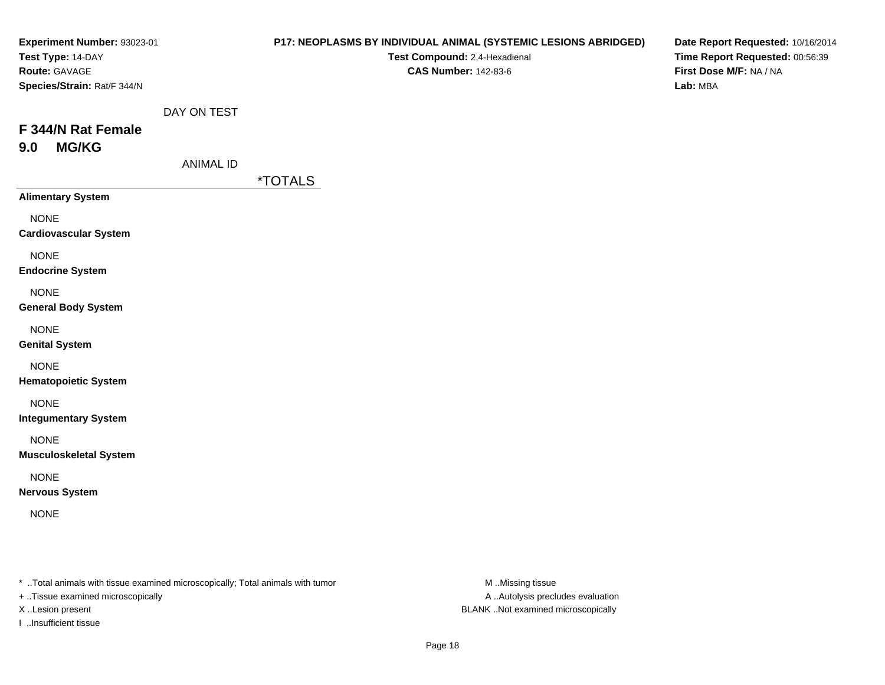| Experiment Number: 93023-01<br>Test Type: 14-DAY<br>Route: GAVAGE<br>Species/Strain: Rat/F 344/N |                                 | P17: NEOPLASMS BY INDIVIDUAL ANIMAL (SYSTEMIC LESIONS ABRIDGED)<br>Test Compound: 2,4-Hexadienal<br><b>CAS Number: 142-83-6</b> | Date Report Requested: 10/16/2014<br>Time Report Requested: 00:56:39<br>First Dose M/F: NA / NA<br>Lab: MBA |
|--------------------------------------------------------------------------------------------------|---------------------------------|---------------------------------------------------------------------------------------------------------------------------------|-------------------------------------------------------------------------------------------------------------|
| F 344/N Rat Female<br><b>MG/KG</b><br>9.0                                                        | DAY ON TEST<br><b>ANIMAL ID</b> |                                                                                                                                 |                                                                                                             |
| <b>Alimentary System</b>                                                                         |                                 | <i><b>*TOTALS</b></i>                                                                                                           |                                                                                                             |
| <b>NONE</b><br><b>Cardiovascular System</b>                                                      |                                 |                                                                                                                                 |                                                                                                             |
| <b>NONE</b><br><b>Endocrine System</b>                                                           |                                 |                                                                                                                                 |                                                                                                             |
| <b>NONE</b><br><b>General Body System</b>                                                        |                                 |                                                                                                                                 |                                                                                                             |
| <b>NONE</b><br><b>Genital System</b>                                                             |                                 |                                                                                                                                 |                                                                                                             |
| <b>NONE</b><br><b>Hematopoietic System</b>                                                       |                                 |                                                                                                                                 |                                                                                                             |
| <b>NONE</b><br><b>Integumentary System</b>                                                       |                                 |                                                                                                                                 |                                                                                                             |
| <b>NONE</b><br><b>Musculoskeletal System</b>                                                     |                                 |                                                                                                                                 |                                                                                                             |
| <b>NONE</b><br><b>Nervous System</b>                                                             |                                 |                                                                                                                                 |                                                                                                             |
| <b>NONE</b>                                                                                      |                                 |                                                                                                                                 |                                                                                                             |
|                                                                                                  |                                 |                                                                                                                                 |                                                                                                             |

\* ..Total animals with tissue examined microscopically; Total animals with tumor M..Missing tissue M

+ ..Tissue examined microscopically

I ..Insufficient tissue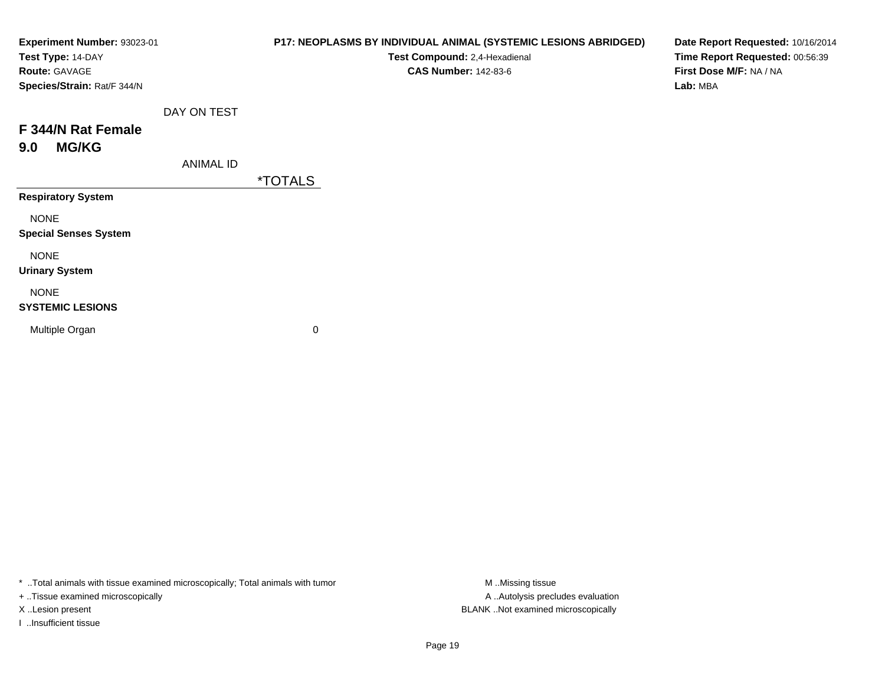| Experiment Number: 93023-01<br>Test Type: 14-DAY<br>Route: GAVAGE<br>Species/Strain: Rat/F 344/N |                  | P17: NEOPLASMS BY INDIVIDUAL ANIMAL (SYSTEMIC LESIONS ABRIDGED)<br>Test Compound: 2,4-Hexadienal<br><b>CAS Number: 142-83-6</b> | Date Report Requested: 10/16/2014<br>Time Report Requested: 00:56:39<br>First Dose M/F: NA / NA<br>Lab: MBA |
|--------------------------------------------------------------------------------------------------|------------------|---------------------------------------------------------------------------------------------------------------------------------|-------------------------------------------------------------------------------------------------------------|
|                                                                                                  | DAY ON TEST      |                                                                                                                                 |                                                                                                             |
| F 344/N Rat Female                                                                               |                  |                                                                                                                                 |                                                                                                             |
| <b>MG/KG</b><br>9.0                                                                              |                  |                                                                                                                                 |                                                                                                             |
|                                                                                                  | <b>ANIMAL ID</b> |                                                                                                                                 |                                                                                                             |
|                                                                                                  |                  | <i><b>*TOTALS</b></i>                                                                                                           |                                                                                                             |
| <b>Respiratory System</b>                                                                        |                  |                                                                                                                                 |                                                                                                             |
| <b>NONE</b><br><b>Special Senses System</b>                                                      |                  |                                                                                                                                 |                                                                                                             |
| <b>NONE</b><br><b>Urinary System</b>                                                             |                  |                                                                                                                                 |                                                                                                             |
| <b>NONE</b><br><b>SYSTEMIC LESIONS</b>                                                           |                  |                                                                                                                                 |                                                                                                             |
| Multiple Organ                                                                                   |                  | 0                                                                                                                               |                                                                                                             |

\* ..Total animals with tissue examined microscopically; Total animals with tumor M..Missing tissue M ..Missing tissue

+ ..Tissue examined microscopically

I ..Insufficient tissue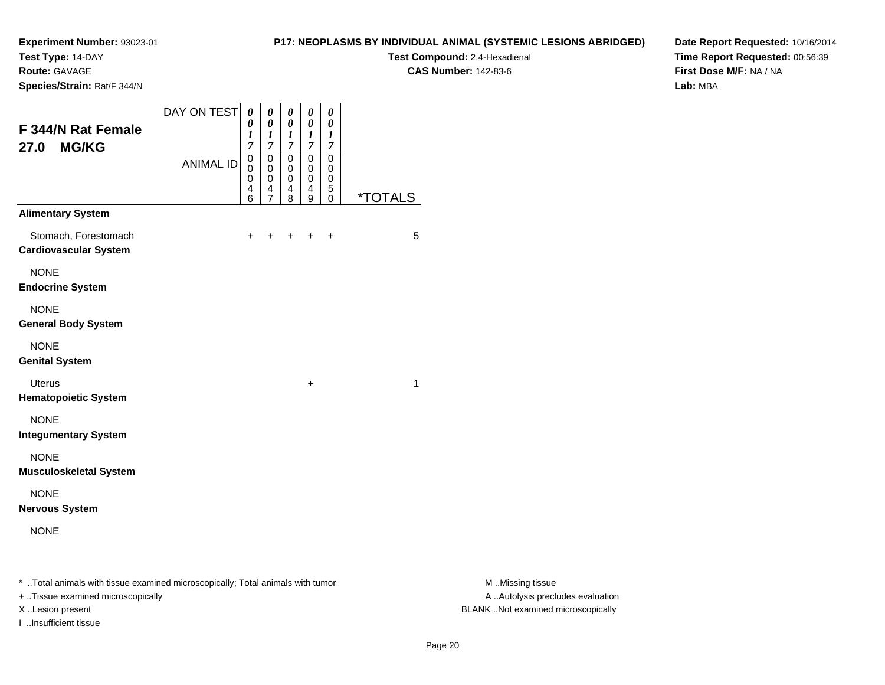**Test Type:** 14-DAY

**Route:** GAVAGE

**Species/Strain:** Rat/F 344/N

## **P17: NEOPLASMS BY INDIVIDUAL ANIMAL (SYSTEMIC LESIONS ABRIDGED)**

**Test Compound:** 2,4-Hexadienal **CAS Number:** 142-83-6

**Date Report Requested:** 10/16/2014**Time Report Requested:** 00:56:39**First Dose M/F:** NA / NA**Lab:** MBA

| F 344/N Rat Female<br><b>MG/KG</b><br>27.0           | DAY ON TEST      | 0<br>0<br>$\boldsymbol{l}$<br>$\overline{7}$ | 0<br>$\boldsymbol{\theta}$<br>1<br>$\overline{7}$ | 0<br>0<br>$\boldsymbol{l}$<br>$\overline{7}$ | 0<br>0<br>1<br>$\overline{7}$ | 0<br>$\pmb{\theta}$<br>1<br>7             |                       |
|------------------------------------------------------|------------------|----------------------------------------------|---------------------------------------------------|----------------------------------------------|-------------------------------|-------------------------------------------|-----------------------|
|                                                      | <b>ANIMAL ID</b> | 0<br>$\mathbf 0$<br>0<br>4<br>6              | 0<br>$\mathbf 0$<br>0<br>4<br>$\overline{7}$      | 0<br>0<br>0<br>4<br>8                        | 0<br>0<br>0<br>4<br>9         | 0<br>$\mathbf 0$<br>0<br>5<br>$\mathbf 0$ | <i><b>*TOTALS</b></i> |
| <b>Alimentary System</b>                             |                  |                                              |                                                   |                                              |                               |                                           |                       |
| Stomach, Forestomach<br><b>Cardiovascular System</b> |                  | $\ddot{}$                                    | +                                                 | $\ddot{}$                                    | $\div$                        | $\ddot{}$                                 | 5                     |
| <b>NONE</b><br><b>Endocrine System</b>               |                  |                                              |                                                   |                                              |                               |                                           |                       |
| <b>NONE</b><br><b>General Body System</b>            |                  |                                              |                                                   |                                              |                               |                                           |                       |
| <b>NONE</b><br><b>Genital System</b>                 |                  |                                              |                                                   |                                              |                               |                                           |                       |
| <b>Uterus</b><br><b>Hematopoietic System</b>         |                  |                                              |                                                   |                                              | $\ddot{}$                     |                                           | 1                     |
| <b>NONE</b><br><b>Integumentary System</b>           |                  |                                              |                                                   |                                              |                               |                                           |                       |
| <b>NONE</b><br><b>Musculoskeletal System</b>         |                  |                                              |                                                   |                                              |                               |                                           |                       |
| <b>NONE</b><br><b>Nervous System</b>                 |                  |                                              |                                                   |                                              |                               |                                           |                       |
| <b>NONE</b>                                          |                  |                                              |                                                   |                                              |                               |                                           |                       |

\* ..Total animals with tissue examined microscopically; Total animals with tumor **M** . Missing tissue M ..Missing tissue

+ ..Tissue examined microscopically

I ..Insufficient tissue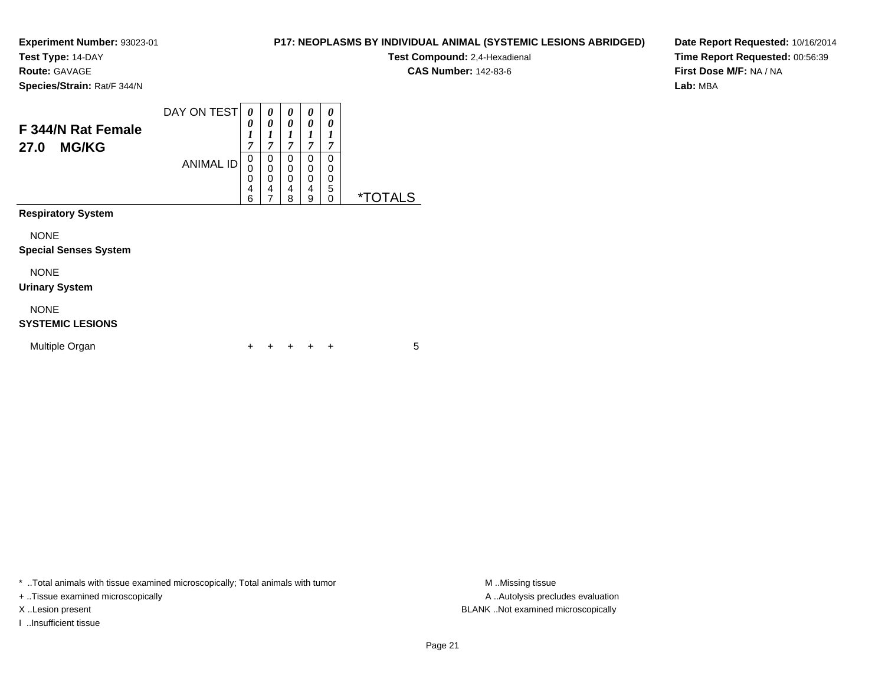**Test Type:** 14-DAY

**Route:** GAVAGE

**Species/Strain:** Rat/F 344/N

| <b>Test Compound: 2,4-Hexadienal</b> |  |
|--------------------------------------|--|
| <b>CAS Number: 142-83-6</b>          |  |

**P17: NEOPLASMS BY INDIVIDUAL ANIMAL (SYSTEMIC LESIONS ABRIDGED)**

**Date Report Requested:** 10/16/2014**Time Report Requested:** 00:56:39**First Dose M/F:** NA / NA**Lab:** MBA

| F 344/N Rat Female<br><b>MG/KG</b><br>27.0  | DAY ON TEST      | 0<br>0<br>$\boldsymbol{l}$<br>$\overline{7}$ | 0<br>$\boldsymbol{\theta}$<br>1<br>$\overline{7}$ | 0<br>0<br>$\boldsymbol{l}$<br>$\overline{7}$ | 0<br>0<br>1<br>$\overline{7}$ | 0<br>0<br>1<br>$\overline{7}$ |                       |
|---------------------------------------------|------------------|----------------------------------------------|---------------------------------------------------|----------------------------------------------|-------------------------------|-------------------------------|-----------------------|
|                                             | <b>ANIMAL ID</b> | 0<br>0<br>0<br>4<br>6                        | 0<br>0<br>0<br>4<br>$\overline{7}$                | 0<br>0<br>0<br>4<br>8                        | 0<br>0<br>0<br>4<br>9         | 0<br>0<br>0<br>5<br>0         | <i><b>*TOTALS</b></i> |
| <b>Respiratory System</b>                   |                  |                                              |                                                   |                                              |                               |                               |                       |
| <b>NONE</b><br><b>Special Senses System</b> |                  |                                              |                                                   |                                              |                               |                               |                       |
| <b>NONE</b><br><b>Urinary System</b>        |                  |                                              |                                                   |                                              |                               |                               |                       |
| <b>NONE</b><br><b>SYSTEMIC LESIONS</b>      |                  |                                              |                                                   |                                              |                               |                               |                       |
| Multiple Organ                              |                  | ٠                                            | ٠                                                 | +                                            | ÷                             | ÷                             | 5                     |

\* ..Total animals with tissue examined microscopically; Total animals with tumor **M** . Missing tissue M ..Missing tissue

+ ..Tissue examined microscopically

I ..Insufficient tissue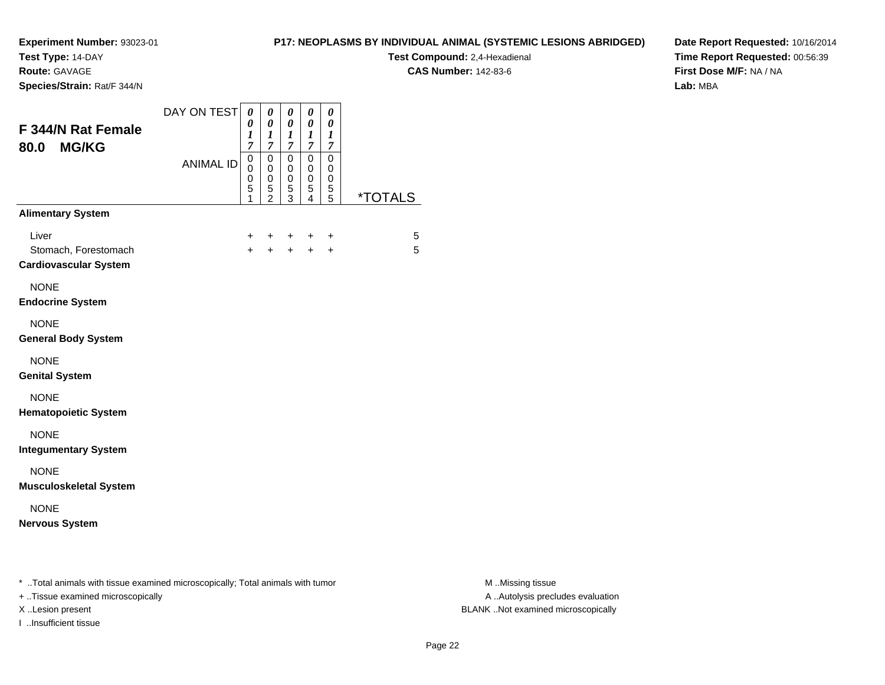**Test Type:** 14-DAY

**Route:** GAVAGE

**Species/Strain:** Rat/F 344/N

## **P17: NEOPLASMS BY INDIVIDUAL ANIMAL (SYSTEMIC LESIONS ABRIDGED)**

**Test Compound:** 2,4-Hexadienal **CAS Number:** 142-83-6

**Date Report Requested:** 10/16/2014**Time Report Requested:** 00:56:39**First Dose M/F:** NA / NA**Lab:** MBA

| F 344/N Rat Female<br><b>MG/KG</b><br>80.0                    | DAY ON TEST      | $\boldsymbol{\theta}$<br>$\boldsymbol{\theta}$<br>1<br>$\overline{7}$ | 0<br>0<br>1<br>$\overline{7}$                | 0<br>0<br>$\boldsymbol{l}$<br>$\overline{7}$                  | 0<br>0<br>1<br>$\overline{7}$      | 0<br>0<br>1<br>$\overline{7}$   |                       |
|---------------------------------------------------------------|------------------|-----------------------------------------------------------------------|----------------------------------------------|---------------------------------------------------------------|------------------------------------|---------------------------------|-----------------------|
|                                                               | <b>ANIMAL ID</b> | $\mathbf 0$<br>$\mathbf 0$<br>$\mathbf 0$<br>5<br>1                   | $\mathsf 0$<br>0<br>0<br>5<br>$\overline{2}$ | $\mathbf 0$<br>$\mathbf 0$<br>$\mathbf 0$<br>$\mathbf 5$<br>3 | 0<br>0<br>0<br>5<br>$\overline{4}$ | $\mathbf 0$<br>0<br>0<br>5<br>5 | <i><b>*TOTALS</b></i> |
| <b>Alimentary System</b>                                      |                  |                                                                       |                                              |                                                               |                                    |                                 |                       |
| Liver<br>Stomach, Forestomach<br><b>Cardiovascular System</b> |                  | +<br>$+$                                                              | $\ddot{}$<br>$+$                             | $+$<br>$+$                                                    | $\ddot{}$<br>$+$                   | $\div$<br>$\ddot{}$             | 5<br>5                |
| <b>NONE</b><br><b>Endocrine System</b>                        |                  |                                                                       |                                              |                                                               |                                    |                                 |                       |
| <b>NONE</b><br><b>General Body System</b>                     |                  |                                                                       |                                              |                                                               |                                    |                                 |                       |
| <b>NONE</b><br><b>Genital System</b>                          |                  |                                                                       |                                              |                                                               |                                    |                                 |                       |
| <b>NONE</b><br><b>Hematopoietic System</b>                    |                  |                                                                       |                                              |                                                               |                                    |                                 |                       |
| <b>NONE</b><br><b>Integumentary System</b>                    |                  |                                                                       |                                              |                                                               |                                    |                                 |                       |
| <b>NONE</b><br><b>Musculoskeletal System</b>                  |                  |                                                                       |                                              |                                                               |                                    |                                 |                       |
| <b>NONE</b><br><b>Nervous System</b>                          |                  |                                                                       |                                              |                                                               |                                    |                                 |                       |
|                                                               |                  |                                                                       |                                              |                                                               |                                    |                                 |                       |

\* ..Total animals with tissue examined microscopically; Total animals with tumor **M** . Missing tissue M ..Missing tissue

+ ..Tissue examined microscopically

I ..Insufficient tissue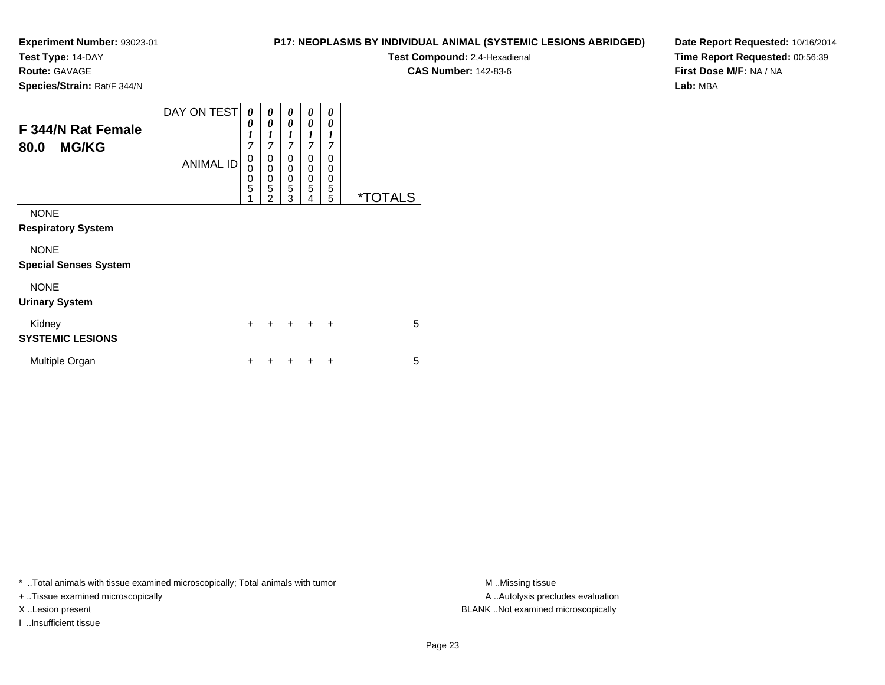**Test Type:** 14-DAY

**Route:** GAVAGE

**Species/Strain:** Rat/F 344/N

# **P17: NEOPLASMS BY INDIVIDUAL ANIMAL (SYSTEMIC LESIONS ABRIDGED)**

**Test Compound:** 2,4-Hexadienal **CAS Number:** 142-83-6

**Date Report Requested:** 10/16/2014**Time Report Requested:** 00:56:39**First Dose M/F:** NA / NA**Lab:** MBA

| <b>F 344/N Rat Female</b><br><b>MG/KG</b><br>80.0 | DAY ON TEST<br><b>ANIMAL ID</b> | 0<br>0<br>$\boldsymbol{l}$<br>7<br>$\mathbf 0$<br>0<br>$\boldsymbol{0}$<br>5<br>1 | 0<br>0<br>$\boldsymbol{l}$<br>$\overline{7}$<br>0<br>0<br>0<br>5<br>$\overline{2}$ | 0<br>0<br>1<br>7<br>0<br>0<br>0<br>5<br>3 | 0<br>0<br>1<br>$\overline{7}$<br>0<br>0<br>0<br>5<br>4 | 0<br>0<br>1<br>7<br>0<br>0<br>0<br>5<br>5 | <i><b>*TOTALS</b></i> |
|---------------------------------------------------|---------------------------------|-----------------------------------------------------------------------------------|------------------------------------------------------------------------------------|-------------------------------------------|--------------------------------------------------------|-------------------------------------------|-----------------------|
| <b>NONE</b><br><b>Respiratory System</b>          |                                 |                                                                                   |                                                                                    |                                           |                                                        |                                           |                       |
| <b>NONE</b><br><b>Special Senses System</b>       |                                 |                                                                                   |                                                                                    |                                           |                                                        |                                           |                       |
| <b>NONE</b><br><b>Urinary System</b>              |                                 |                                                                                   |                                                                                    |                                           |                                                        |                                           |                       |
| Kidney<br><b>SYSTEMIC LESIONS</b>                 |                                 | $\ddot{}$                                                                         |                                                                                    | $\div$                                    | $\div$                                                 | $\ddot{}$                                 | 5                     |
| Multiple Organ                                    |                                 | ÷                                                                                 |                                                                                    |                                           |                                                        | ÷                                         | 5                     |

\* ..Total animals with tissue examined microscopically; Total animals with tumor **M** . Missing tissue M ..Missing tissue

+ ..Tissue examined microscopically

I ..Insufficient tissue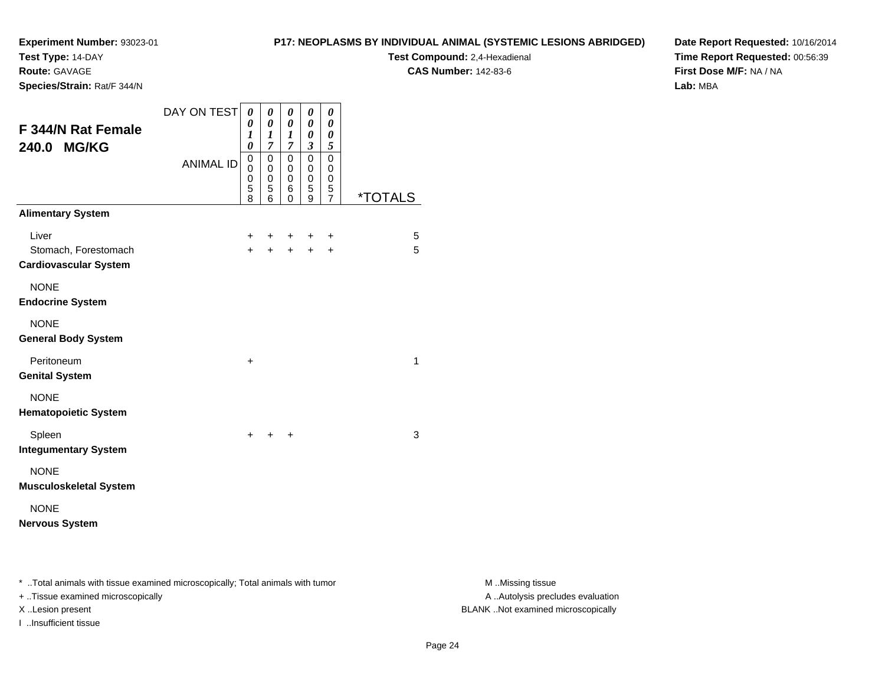**Test Type:** 14-DAY

**Route:** GAVAGE

**Species/Strain:** Rat/F 344/N

## **P17: NEOPLASMS BY INDIVIDUAL ANIMAL (SYSTEMIC LESIONS ABRIDGED)**

**Test Compound:** 2,4-Hexadienal **CAS Number:** 142-83-6

**Date Report Requested:** 10/16/2014**Time Report Requested:** 00:56:39**First Dose M/F:** NA / NA**Lab:** MBA

| F 344/N Rat Female<br>240.0 MG/KG                    | DAY ON TEST<br><b>ANIMAL ID</b> | 0<br>0<br>$\boldsymbol{l}$<br>$\boldsymbol{\theta}$<br>0<br>$\mathbf 0$<br>$\mathbf 0$<br>5<br>8 | 0<br>0<br>1<br>$\overline{7}$<br>0<br>0<br>$\mathbf 0$<br>5<br>6 | 0<br>0<br>1<br>$\overline{7}$<br>0<br>0<br>$\mathbf 0$<br>6<br>0 | 0<br>0<br>0<br>3<br>0<br>0<br>$\mathbf 0$<br>5<br>9 | 0<br>$\boldsymbol{\theta}$<br>0<br>5<br>0<br>0<br>$\mathbf 0$<br>5<br>$\overline{7}$ | <i><b>*TOTALS</b></i> |
|------------------------------------------------------|---------------------------------|--------------------------------------------------------------------------------------------------|------------------------------------------------------------------|------------------------------------------------------------------|-----------------------------------------------------|--------------------------------------------------------------------------------------|-----------------------|
| <b>Alimentary System</b>                             |                                 |                                                                                                  |                                                                  |                                                                  |                                                     |                                                                                      |                       |
| Liver                                                |                                 | $\ddot{}$                                                                                        | ٠                                                                | ÷                                                                | ÷                                                   | +                                                                                    | 5                     |
| Stomach, Forestomach<br><b>Cardiovascular System</b> |                                 | $+$                                                                                              | $\ddot{}$                                                        | $\ddot{}$                                                        | $\ddot{}$                                           | +                                                                                    | 5                     |
| <b>NONE</b><br><b>Endocrine System</b>               |                                 |                                                                                                  |                                                                  |                                                                  |                                                     |                                                                                      |                       |
| <b>NONE</b><br><b>General Body System</b>            |                                 |                                                                                                  |                                                                  |                                                                  |                                                     |                                                                                      |                       |
| Peritoneum<br><b>Genital System</b>                  |                                 | $\ddot{}$                                                                                        |                                                                  |                                                                  |                                                     |                                                                                      | $\mathbf{1}$          |
| <b>NONE</b><br><b>Hematopoietic System</b>           |                                 |                                                                                                  |                                                                  |                                                                  |                                                     |                                                                                      |                       |
| Spleen<br><b>Integumentary System</b>                |                                 | $+$                                                                                              | $+$                                                              | $\ddot{}$                                                        |                                                     |                                                                                      | 3                     |
| <b>NONE</b><br><b>Musculoskeletal System</b>         |                                 |                                                                                                  |                                                                  |                                                                  |                                                     |                                                                                      |                       |
| <b>NONE</b><br><b>Nervous System</b>                 |                                 |                                                                                                  |                                                                  |                                                                  |                                                     |                                                                                      |                       |

\* ..Total animals with tissue examined microscopically; Total animals with tumor **M** . Missing tissue M ..Missing tissue

+ ..Tissue examined microscopically

I ..Insufficient tissue